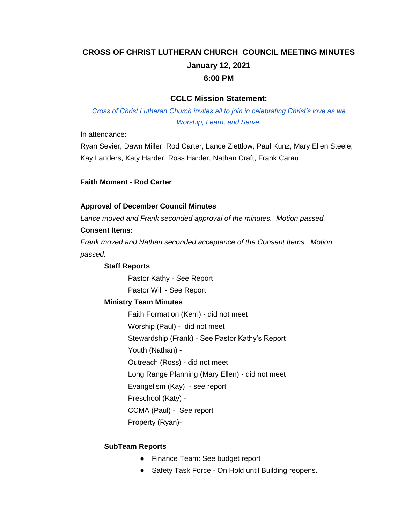# **CROSS OF CHRIST LUTHERAN CHURCH COUNCIL MEETING MINUTES January 12, 2021 6:00 PM**

### **CCLC Mission Statement:**

*Cross of Christ Lutheran Church invites all to join in celebrating Christ's love as we Worship, Learn, and Serve.*

In attendance:

Ryan Sevier, Dawn Miller, Rod Carter, Lance Ziettlow, Paul Kunz, Mary Ellen Steele, Kay Landers, Katy Harder, Ross Harder, Nathan Craft, Frank Carau

#### **Faith Moment - Rod Carter**

#### **Approval of December Council Minutes**

*Lance moved and Frank seconded approval of the minutes. Motion passed.*

#### **Consent Items:**

*Frank moved and Nathan seconded acceptance of the Consent Items. Motion passed.*

#### **Staff Reports**

Pastor Kathy - See Report Pastor Will - See Report

#### **Ministry Team Minutes**

Faith Formation (Kerri) - did not meet Worship (Paul) - did not meet Stewardship (Frank) - See Pastor Kathy's Report Youth (Nathan) - Outreach (Ross) - did not meet Long Range Planning (Mary Ellen) - did not meet Evangelism (Kay) - see report Preschool (Katy) - CCMA (Paul) - See report Property (Ryan)-

#### **SubTeam Reports**

- Finance Team: See budget report
- Safety Task Force On Hold until Building reopens.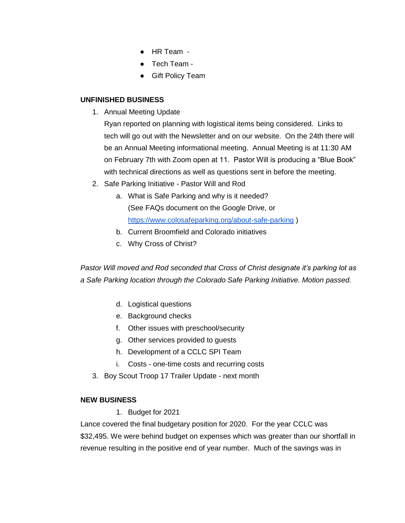- HR Team -
- Tech Team -
- Gift Policy Team

### **UNFINISHED BUSINESS**

1. Annual Meeting Update

Ryan reported on planning with logistical items being considered. Links to tech will go out with the Newsletter and on our website. On the 24th there will be an Annual Meeting informational meeting. Annual Meeting is at 11:30 AM on February 7th with Zoom open at 11. Pastor Will is producing a "Blue Book" with technical directions as well as questions sent in before the meeting.

- 2. Safe Parking Initiative Pastor Will and Rod
	- a. What is Safe Parking and why is it needed? (See FAQs document on the Google Drive, or <https://www.colosafeparking.org/about-safe-parking> )
	- b. Current Broomfield and Colorado initiatives
	- c. Why Cross of Christ?

*Pastor Will moved and Rod seconded that Cross of Christ designate it's parking lot as a Safe Parking location through the Colorado Safe Parking Initiative. Motion passed.*

- d. Logistical questions
- e. Background checks
- f. Other issues with preschool/security
- g. Other services provided to guests
- h. Development of a CCLC SPI Team
- i. Costs one-time costs and recurring costs
- 3. Boy Scout Troop 17 Trailer Update next month

### **NEW BUSINESS**

1. Budget for 2021

Lance covered the final budgetary position for 2020. For the year CCLC was \$32,495. We were behind budget on expenses which was greater than our shortfall in revenue resulting in the positive end of year number. Much of the savings was in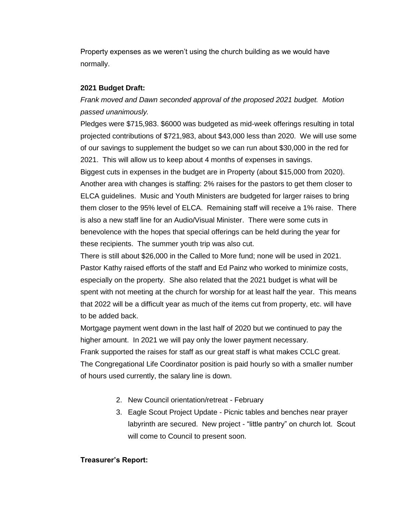Property expenses as we weren't using the church building as we would have normally.

### **2021 Budget Draft:**

## *Frank moved and Dawn seconded approval of the proposed 2021 budget. Motion passed unanimously.*

Pledges were \$715,983. \$6000 was budgeted as mid-week offerings resulting in total projected contributions of \$721,983, about \$43,000 less than 2020. We will use some of our savings to supplement the budget so we can run about \$30,000 in the red for 2021. This will allow us to keep about 4 months of expenses in savings. Biggest cuts in expenses in the budget are in Property (about \$15,000 from 2020). Another area with changes is staffing: 2% raises for the pastors to get them closer to ELCA guidelines. Music and Youth Ministers are budgeted for larger raises to bring them closer to the 95% level of ELCA. Remaining staff will receive a 1% raise. There is also a new staff line for an Audio/Visual Minister. There were some cuts in benevolence with the hopes that special offerings can be held during the year for these recipients. The summer youth trip was also cut.

There is still about \$26,000 in the Called to More fund; none will be used in 2021. Pastor Kathy raised efforts of the staff and Ed Painz who worked to minimize costs, especially on the property. She also related that the 2021 budget is what will be spent with not meeting at the church for worship for at least half the year. This means that 2022 will be a difficult year as much of the items cut from property, etc. will have to be added back.

Mortgage payment went down in the last half of 2020 but we continued to pay the higher amount. In 2021 we will pay only the lower payment necessary. Frank supported the raises for staff as our great staff is what makes CCLC great. The Congregational Life Coordinator position is paid hourly so with a smaller number of hours used currently, the salary line is down.

- 2. New Council orientation/retreat February
- 3. Eagle Scout Project Update Picnic tables and benches near prayer labyrinth are secured. New project - "little pantry" on church lot. Scout will come to Council to present soon.

### **Treasurer's Report:**